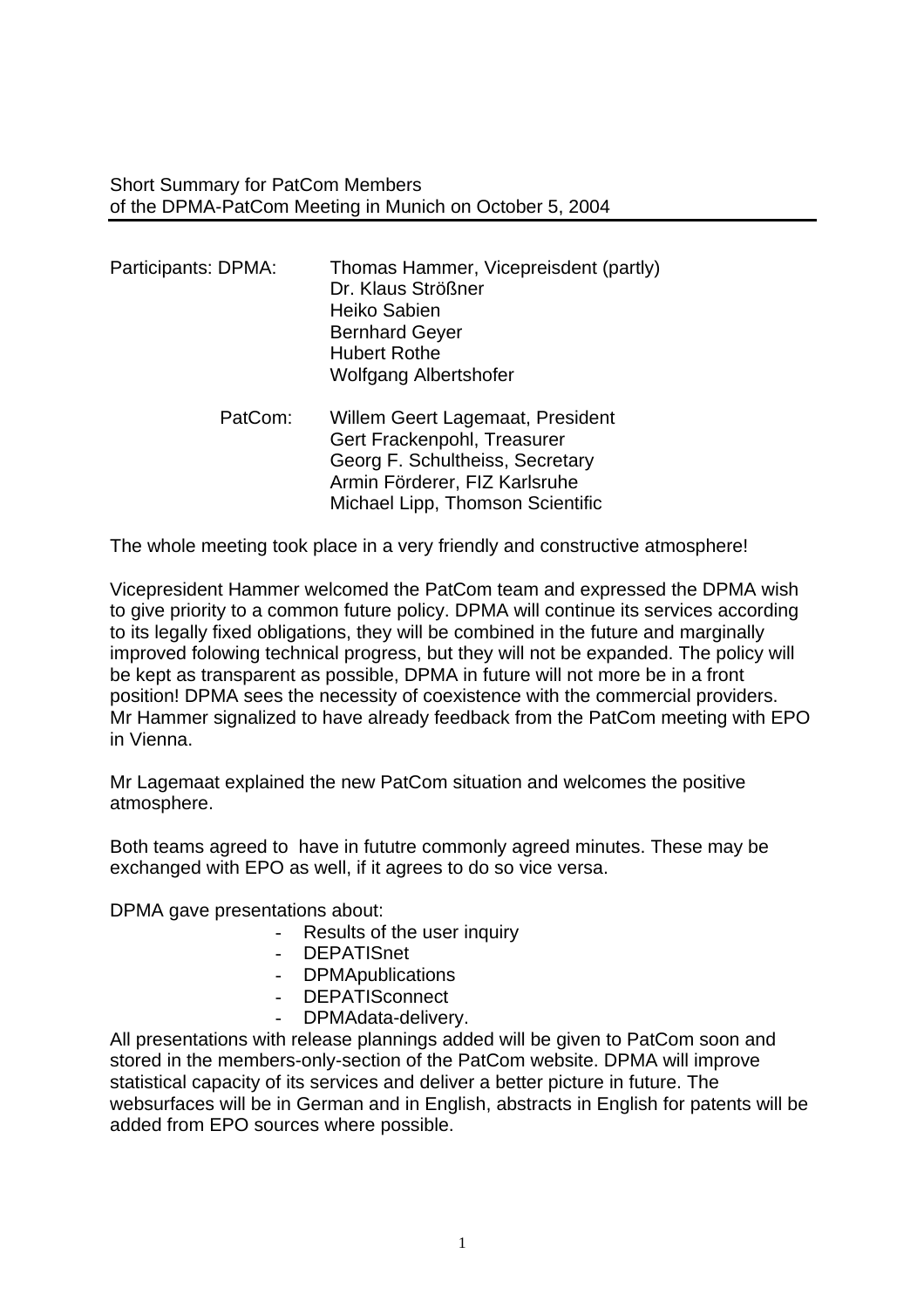Short Summary for PatCom Members of the DPMA-PatCom Meeting in Munich on October 5, 2004

| Participants: DPMA: | Thomas Hammer, Vicepreisdent (partly)<br>Dr. Klaus Strößner<br>Heiko Sabien<br><b>Bernhard Geyer</b><br><b>Hubert Rothe</b><br><b>Wolfgang Albertshofer</b> |
|---------------------|-------------------------------------------------------------------------------------------------------------------------------------------------------------|
| PatCom:             | Willem Geert Lagemaat, President<br>Gert Frackenpohl, Treasurer                                                                                             |

 Georg F. Schultheiss, Secretary Armin Förderer, FIZ Karlsruhe Michael Lipp, Thomson Scientific

The whole meeting took place in a very friendly and constructive atmosphere!

Vicepresident Hammer welcomed the PatCom team and expressed the DPMA wish to give priority to a common future policy. DPMA will continue its services according to its legally fixed obligations, they will be combined in the future and marginally improved folowing technical progress, but they will not be expanded. The policy will be kept as transparent as possible, DPMA in future will not more be in a front position! DPMA sees the necessity of coexistence with the commercial providers. Mr Hammer signalized to have already feedback from the PatCom meeting with EPO in Vienna.

Mr Lagemaat explained the new PatCom situation and welcomes the positive atmosphere.

Both teams agreed to have in fututre commonly agreed minutes. These may be exchanged with EPO as well, if it agrees to do so vice versa.

DPMA gave presentations about:

- Results of the user inquiry
- DEPATISnet
- DPMApublications
- DEPATISconnect
- DPMAdata-delivery.

All presentations with release plannings added will be given to PatCom soon and stored in the members-only-section of the PatCom website. DPMA will improve statistical capacity of its services and deliver a better picture in future. The websurfaces will be in German and in English, abstracts in English for patents will be added from EPO sources where possible.